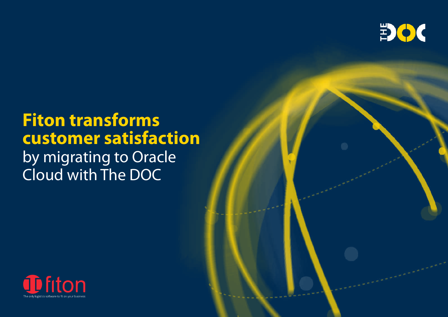

# **Fiton transforms customer satisfaction**

by migrating to Oracle Cloud with The DOC



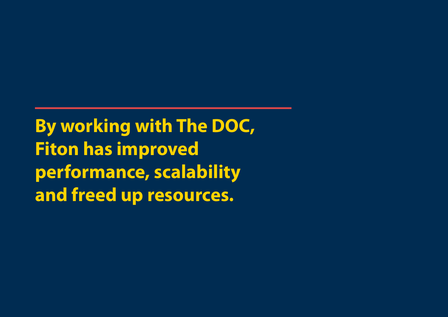**By working with The DOC, Fiton has improved performance, scalability and freed up resources.**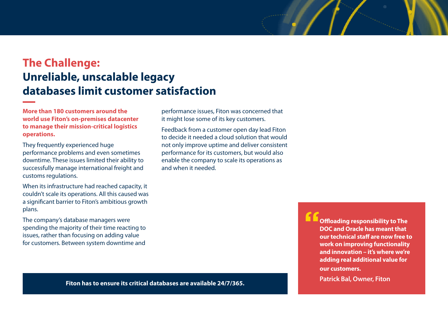### **The Challenge: Unreliable, unscalable legacy databases limit customer satisfaction**

**More than 180 customers around the world use Fiton's on-premises datacenter to manage their mission-critical logistics operations.** 

They frequently experienced huge performance problems and even sometimes downtime. These issues limited their ability to successfully manage international freight and customs regulations.

When its infrastructure had reached capacity, it couldn't scale its operations. All this caused was a significant barrier to Fiton's ambitious growth plans.

The company's database managers were spending the majority of their time reacting to issues, rather than focusing on adding value for customers. Between system downtime and

performance issues, Fiton was concerned that it might lose some of its key customers.

Feedback from a customer open day lead Fiton to decide it needed a cloud solution that would not only improve uptime and deliver consistent performance for its customers, but would also enable the company to scale its operations as and when it needed.

> **"Offloading responsibility to The DOC and Oracle has meant that our technical staff are now free to work on improving functionality and innovation – it's where we're adding real additional value for our customers.**

**Patrick Bal, Owner, Fiton Fiton has to ensure its critical databases are available 24/7/365.**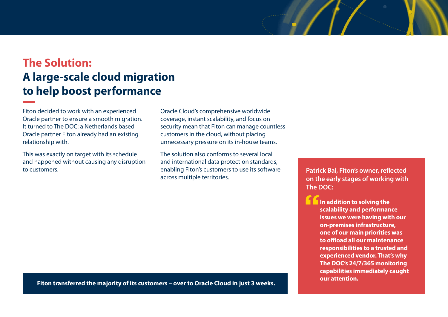## **The Solution: A large-scale cloud migration to help boost performance**

Fiton decided to work with an experienced Oracle partner to ensure a smooth migration. It turned to The DOC: a Netherlands based Oracle partner Fiton already had an existing relationship with.

This was exactly on target with its schedule and happened without causing any disruption to customers.

Oracle Cloud's comprehensive worldwide coverage, instant scalability, and focus on security mean that Fiton can manage countless customers in the cloud, without placing unnecessary pressure on its in-house teams.

The solution also conforms to several local and international data protection standards, enabling Fiton's customers to use its software across multiple territories.

**Patrick Bal, Fiton's owner, reflected on the early stages of working with The DOC:**

**The addition to solving the scalability and performance issues we were having with our on-premises infrastructure, one of our main priorities was to offload all our maintenance responsibilities to a trusted and experienced vendor. That's why The DOC's 24/7/365 monitoring capabilities immediately caught our attention.**

**Fiton transferred the majority of its customers – over to Oracle Cloud in just 3 weeks.**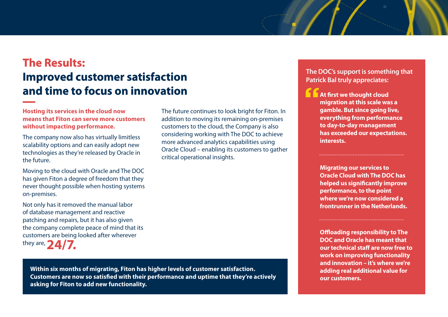## **The Results: Improved customer satisfaction and time to focus on innovation**

**Hosting its services in the cloud now means that Fiton can serve more customers without impacting performance.** 

The company now also has virtually limitless scalability options and can easily adopt new technologies as they're released by Oracle in the future.

Moving to the cloud with Oracle and The DOC has given Fiton a degree of freedom that they never thought possible when hosting systems on-premises.

Not only has it removed the manual labor of database management and reactive patching and repairs, but it has also given the company complete peace of mind that its customers are being looked after wherever they are, **2** 

The future continues to look bright for Fiton. In addition to moving its remaining on-premises customers to the cloud, the Company is also considering working with The DOC to achieve more advanced analytics capabilities using Oracle Cloud – enabling its customers to gather critical operational insights.

**Within six months of migrating, Fiton has higher levels of customer satisfaction. Customers are now so satisfied with their performance and uptime that they're actively asking for Fiton to add new functionality.** 

**The DOC's support is something that Patrick Bal truly appreciates:**

**At first we thought cloud migration at this scale was a gamble. But since going live, everything from performance to day-to-day management has exceeded our expectations. interests.**

**Migrating our services to Oracle Cloud with The DOC has helped us significantly improve performance, to the point where we're now considered a frontrunner in the Netherlands.**

**Offloading responsibility to The DOC and Oracle has meant that our technical staff are now free to work on improving functionality and innovation – it's where we're adding real additional value for our customers.**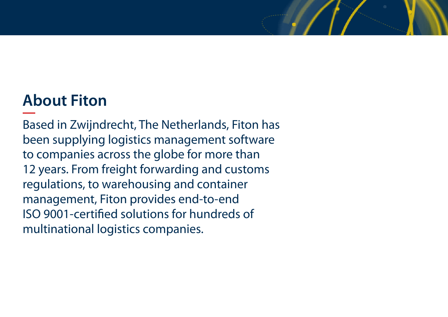# **About Fiton**

Based in Zwijndrecht, The Netherlands, Fiton has been supplying logistics management software to companies across the globe for more than 12 years. From freight forwarding and customs regulations, to warehousing and container management, Fiton provides end-to-end ISO 9001-certified solutions for hundreds of multinational logistics companies.